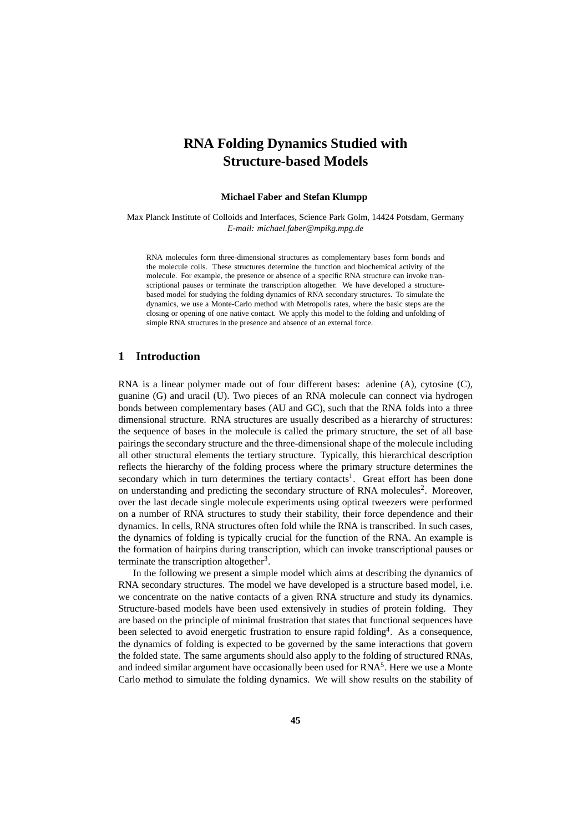# **RNA Folding Dynamics Studied with Structure-based Models**

#### **Michael Faber and Stefan Klumpp**

Max Planck Institute of Colloids and Interfaces, Science Park Golm, 14424 Potsdam, Germany *E-mail: michael.faber@mpikg.mpg.de*

RNA molecules form three-dimensional structures as complementary bases form bonds and the molecule coils. These structures determine the function and biochemical activity of the molecule. For example, the presence or absence of a specific RNA structure can invoke transcriptional pauses or terminate the transcription altogether. We have developed a structurebased model for studying the folding dynamics of RNA secondary structures. To simulate the dynamics, we use a Monte-Carlo method with Metropolis rates, where the basic steps are the closing or opening of one native contact. We apply this model to the folding and unfolding of simple RNA structures in the presence and absence of an external force.

### **1 Introduction**

RNA is a linear polymer made out of four different bases: adenine (A), cytosine (C), guanine (G) and uracil (U). Two pieces of an RNA molecule can connect via hydrogen bonds between complementary bases (AU and GC), such that the RNA folds into a three dimensional structure. RNA structures are usually described as a hierarchy of structures: the sequence of bases in the molecule is called the primary structure, the set of all base pairings the secondary structure and the three-dimensional shape of the molecule including all other structural elements the tertiary structure. Typically, this hierarchical description reflects the hierarchy of the folding process where the primary structure determines the secondary which in turn determines the tertiary contacts<sup>1</sup>. Great effort has been done on understanding and predicting the secondary structure of RNA molecules<sup>2</sup>. Moreover, over the last decade single molecule experiments using optical tweezers were performed on a number of RNA structures to study their stability, their force dependence and their dynamics. In cells, RNA structures often fold while the RNA is transcribed. In such cases, the dynamics of folding is typically crucial for the function of the RNA. An example is the formation of hairpins during transcription, which can invoke transcriptional pauses or terminate the transcription altogether<sup>3</sup>.

In the following we present a simple model which aims at describing the dynamics of RNA secondary structures. The model we have developed is a structure based model, i.e. we concentrate on the native contacts of a given RNA structure and study its dynamics. Structure-based models have been used extensively in studies of protein folding. They are based on the principle of minimal frustration that states that functional sequences have been selected to avoid energetic frustration to ensure rapid folding<sup>4</sup>. As a consequence, the dynamics of folding is expected to be governed by the same interactions that govern the folded state. The same arguments should also apply to the folding of structured RNAs, and indeed similar argument have occasionally been used for  $\text{RNA}^5$ . Here we use a Monte Carlo method to simulate the folding dynamics. We will show results on the stability of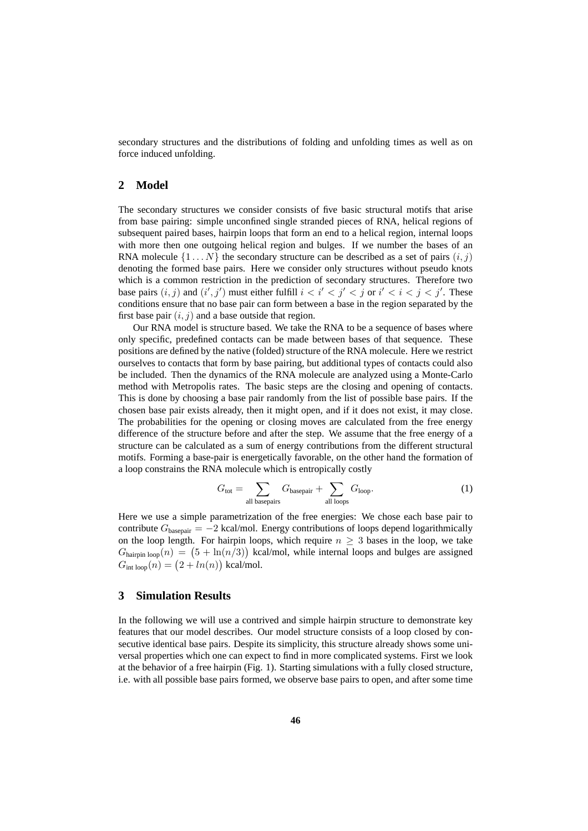secondary structures and the distributions of folding and unfolding times as well as on force induced unfolding.

#### **2 Model**

The secondary structures we consider consists of five basic structural motifs that arise from base pairing: simple unconfined single stranded pieces of RNA, helical regions of subsequent paired bases, hairpin loops that form an end to a helical region, internal loops with more then one outgoing helical region and bulges. If we number the bases of an RNA molecule  $\{1 \dots N\}$  the secondary structure can be described as a set of pairs  $(i, j)$ denoting the formed base pairs. Here we consider only structures without pseudo knots which is a common restriction in the prediction of secondary structures. Therefore two base pairs  $(i, j)$  and  $(i', j')$  must either fulfill  $i < i' < j' < j$  or  $i' < i < j < j'$ . These conditions ensure that no base pair can form between a base in the region separated by the first base pair  $(i, j)$  and a base outside that region.

Our RNA model is structure based. We take the RNA to be a sequence of bases where only specific, predefined contacts can be made between bases of that sequence. These positions are defined by the native (folded) structure of the RNA molecule. Here we restrict ourselves to contacts that form by base pairing, but additional types of contacts could also be included. Then the dynamics of the RNA molecule are analyzed using a Monte-Carlo method with Metropolis rates. The basic steps are the closing and opening of contacts. This is done by choosing a base pair randomly from the list of possible base pairs. If the chosen base pair exists already, then it might open, and if it does not exist, it may close. The probabilities for the opening or closing moves are calculated from the free energy difference of the structure before and after the step. We assume that the free energy of a structure can be calculated as a sum of energy contributions from the different structural motifs. Forming a base-pair is energetically favorable, on the other hand the formation of a loop constrains the RNA molecule which is entropically costly

$$
G_{\text{tot}} = \sum_{\text{all basepairs}} G_{\text{basepair}} + \sum_{\text{all loops}} G_{\text{loop}}.\tag{1}
$$

Here we use a simple parametrization of the free energies: We chose each base pair to contribute  $G_{\text{basepair}} = -2$  kcal/mol. Energy contributions of loops depend logarithmically on the loop length. For hairpin loops, which require  $n \geq 3$  bases in the loop, we take  $G_{\text{hairpin loop}}(n) = (5 + \ln(n/3))$  kcal/mol, while internal loops and bulges are assigned  $G_{\text{int loop}}(n) = (2 + ln(n))$  kcal/mol.

#### **3 Simulation Results**

In the following we will use a contrived and simple hairpin structure to demonstrate key features that our model describes. Our model structure consists of a loop closed by consecutive identical base pairs. Despite its simplicity, this structure already shows some universal properties which one can expect to find in more complicated systems. First we look at the behavior of a free hairpin (Fig. 1). Starting simulations with a fully closed structure, i.e. with all possible base pairs formed, we observe base pairs to open, and after some time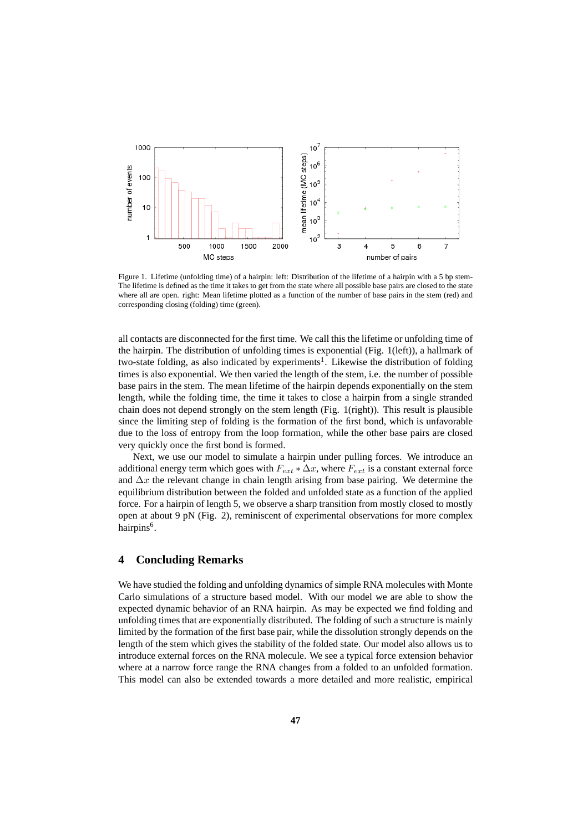

Figure 1. Lifetime (unfolding time) of a hairpin: left: Distribution of the lifetime of a hairpin with a 5 bp stem-The lifetime is defined as the time it takes to get from the state where all possible base pairs are closed to the state where all are open. right: Mean lifetime plotted as a function of the number of base pairs in the stem (red) and corresponding closing (folding) time (green).

all contacts are disconnected for the first time. We call this the lifetime or unfolding time of the hairpin. The distribution of unfolding times is exponential (Fig. 1(left)), a hallmark of two-state folding, as also indicated by experiments<sup>1</sup>. Likewise the distribution of folding times is also exponential. We then varied the length of the stem, i.e. the number of possible base pairs in the stem. The mean lifetime of the hairpin depends exponentially on the stem length, while the folding time, the time it takes to close a hairpin from a single stranded chain does not depend strongly on the stem length (Fig. 1(right)). This result is plausible since the limiting step of folding is the formation of the first bond, which is unfavorable due to the loss of entropy from the loop formation, while the other base pairs are closed very quickly once the first bond is formed.

Next, we use our model to simulate a hairpin under pulling forces. We introduce an additional energy term which goes with  $F_{ext} * \Delta x$ , where  $F_{ext}$  is a constant external force and  $\Delta x$  the relevant change in chain length arising from base pairing. We determine the equilibrium distribution between the folded and unfolded state as a function of the applied force. For a hairpin of length 5, we observe a sharp transition from mostly closed to mostly open at about 9 pN (Fig. 2), reminiscent of experimental observations for more complex hairpins<sup>6</sup>.

## **4 Concluding Remarks**

We have studied the folding and unfolding dynamics of simple RNA molecules with Monte Carlo simulations of a structure based model. With our model we are able to show the expected dynamic behavior of an RNA hairpin. As may be expected we find folding and unfolding times that are exponentially distributed. The folding of such a structure is mainly limited by the formation of the first base pair, while the dissolution strongly depends on the length of the stem which gives the stability of the folded state. Our model also allows us to introduce external forces on the RNA molecule. We see a typical force extension behavior where at a narrow force range the RNA changes from a folded to an unfolded formation. This model can also be extended towards a more detailed and more realistic, empirical